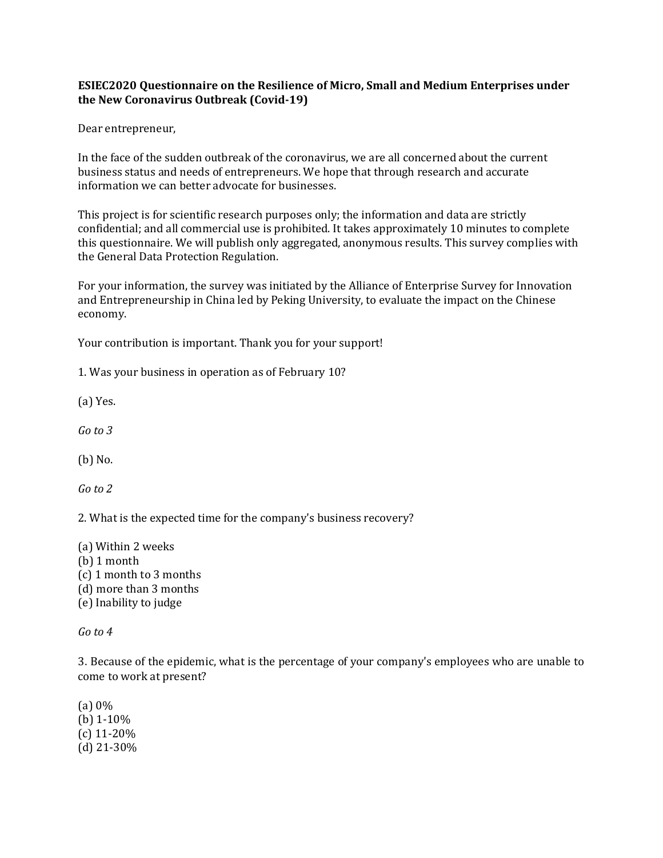## **ESIEC2020 Questionnaire on the Resilience of Micro, Small and Medium Enterprises under the New Coronavirus Outbreak (Covid-19)**

Dear entrepreneur,

In the face of the sudden outbreak of the coronavirus, we are all concerned about the current business status and needs of entrepreneurs. We hope that through research and accurate information we can better advocate for businesses.

This project is for scientific research purposes only; the information and data are strictly confidential; and all commercial use is prohibited. It takes approximately 10 minutes to complete this questionnaire. We will publish only aggregated, anonymous results. This survey complies with the General Data Protection Regulation.

For your information, the survey was initiated by the Alliance of Enterprise Survey for Innovation and Entrepreneurship in China led by Peking University, to evaluate the impact on the Chinese economy.

Your contribution is important. Thank you for your support!

1. Was your business in operation as of February 10?

(a) Yes.

*Go to 3*

(b) No.

*Go to 2*

2. What is the expected time for the company's business recovery?

(a) Within 2 weeks (b) 1 month (c) 1 month to 3 months (d) more than 3 months (e) Inability to judge

*Go to 4* 

3.Because of the epidemic, what is the percentage of your company's employees who are unable to come to work at present?

(a) 0% (b) 1-10% (c) 11-20% (d) 21-30%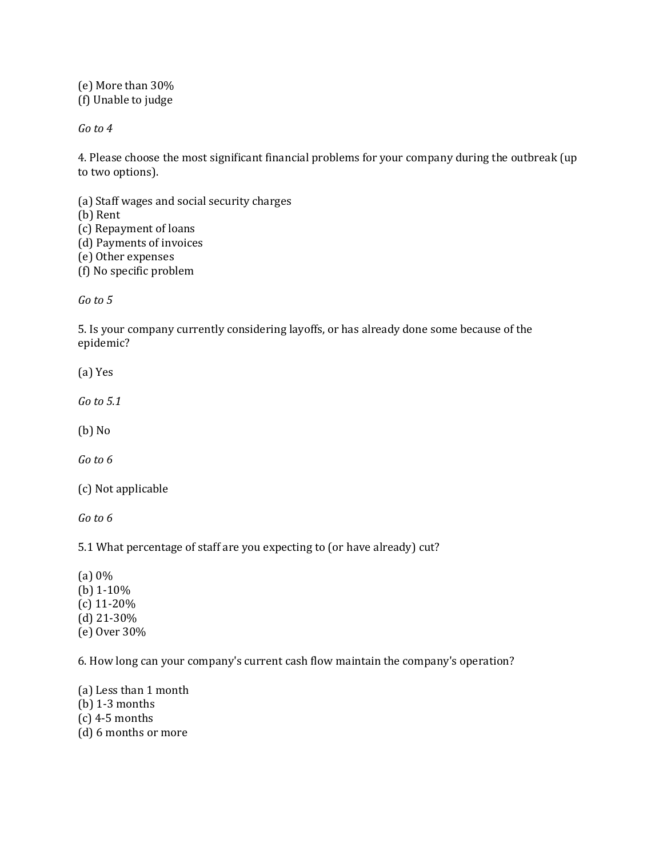(e) More than 30% (f) Unable to judge

*Go to 4* 

4. Please choose the most significant financial problems for your company during the outbreak (up to two options).

(a) Staff wages and social security charges

(b) Rent

(c) Repayment of loans (d) Payments of invoices

(e) Other expenses

(f) No specific problem

*Go to 5* 

5. Is your company currently considering layoffs, or has already done some because of the epidemic?

(a) Yes

*Go to 5.1*

(b) No

*Go to 6*

(c) Not applicable

*Go to 6*

5.1 What percentage of staff are you expecting to (or have already) cut?

(a) 0% (b) 1-10% (c) 11-20% (d) 21-30% (e) Over 30%

6. How long can your company's current cash flow maintain the company's operation?

(a) Less than 1 month (b) 1-3 months (c) 4-5 months

(d) 6 months or more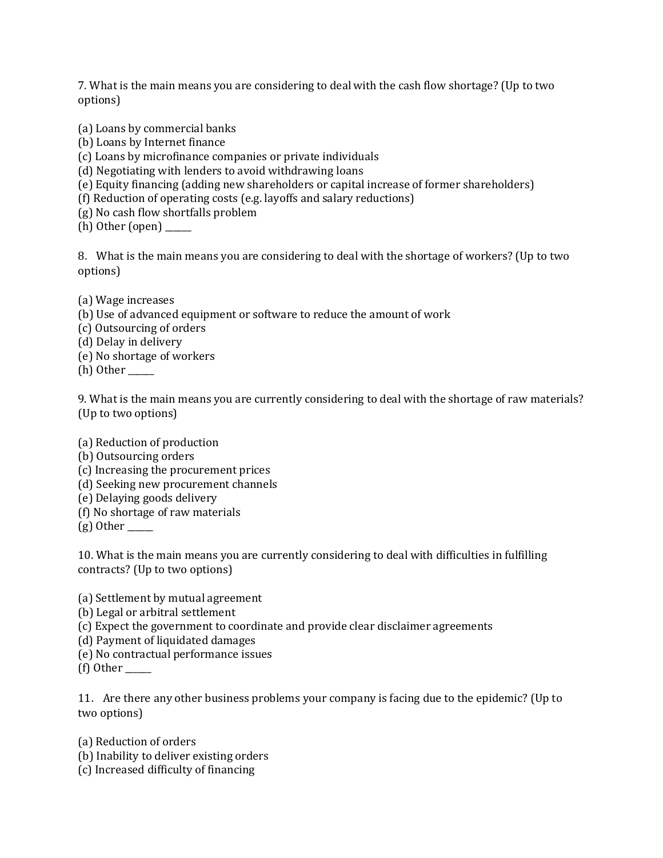7. What is the main means you are considering to deal with the cash flow shortage? (Up to two options)

(a) Loans by commercial banks

- (b) Loans by Internet finance
- (c) Loans by microfinance companies or private individuals
- (d) Negotiating with lenders to avoid withdrawing loans
- (e) Equity financing (adding new shareholders or capital increase of former shareholders)
- (f) Reduction of operating costs (e.g. layoffs and salary reductions)
- (g) No cash flow shortfalls problem

 $(h)$  Other (open)  $\qquad$ 

8. What is the main means you are considering to deal with the shortage of workers? (Up to two options)

(a) Wage increases

(b) Use of advanced equipment or software to reduce the amount of work

(c) Outsourcing of orders

(d) Delay in delivery

(e) No shortage of workers

 $(h)$  Other  $\_\_$ 

9. What is the main means you are currently considering to deal with the shortage of raw materials? (Up to two options)

(a) Reduction of production

- (b) Outsourcing orders
- (c) Increasing the procurement prices
- (d) Seeking new procurement channels
- (e) Delaying goods delivery
- (f) No shortage of raw materials

 $(g)$  Other

10. What is the main means you are currently considering to deal with difficulties in fulfilling contracts? (Up to two options)

(a) Settlement by mutual agreement

- (b) Legal or arbitral settlement
- (c) Expect the government to coordinate and provide clear disclaimer agreements

(d) Payment of liquidated damages

- (e) No contractual performance issues
- $(f)$  Other

11. Are there any other business problems your company is facing due to the epidemic? (Up to two options)

(a) Reduction of orders

- (b) Inability to deliver existing orders
- (c) Increased difficulty of financing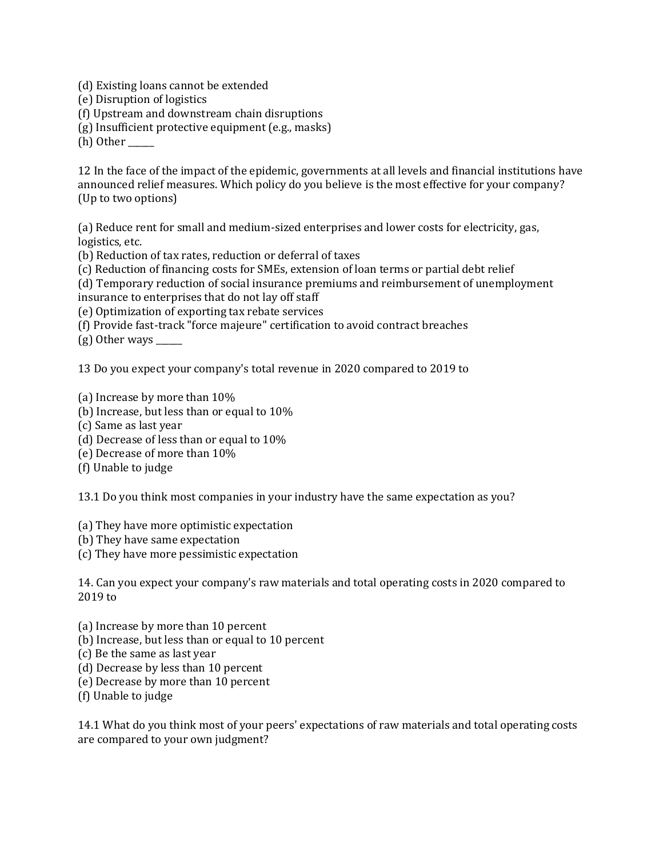(d) Existing loans cannot be extended

(e) Disruption of logistics

(f) Upstream and downstream chain disruptions

(g) Insufficient protective equipment (e.g., masks)

(h) Other

12 In the face of the impact of the epidemic, governments at all levels and financial institutions have announced relief measures. Which policy do you believe is the most effective for your company? (Up to two options)

(a) Reduce rent for small and medium-sized enterprises and lower costs for electricity, gas, logistics, etc.

(b) Reduction of tax rates, reduction or deferral of taxes

(c) Reduction of financing costs for SMEs, extension of loan terms or partial debt relief

(d) Temporary reduction of social insurance premiums and reimbursement of unemployment insurance to enterprises that do not lay off staff

(e) Optimization of exporting tax rebate services

(f) Provide fast-track "force majeure" certification to avoid contract breaches

 $(g)$  Other ways  $\_\_\_\_\_\_\_\_\_\$ 

13 Do you expect your company's total revenue in 2020 compared to 2019 to

(a) Increase by more than 10%

- (b) Increase, but less than or equal to 10%
- (c) Same as last year
- (d) Decrease of less than or equal to 10%
- (e) Decrease of more than 10%
- (f) Unable to judge

13.1 Do you think most companies in your industry have the same expectation as you?

(a) They have more optimistic expectation

- (b) They have same expectation
- (c) They have more pessimistic expectation

14. Can you expect your company's raw materials and total operating costs in 2020 compared to 2019 to

(a) Increase by more than 10 percent

- (b) Increase, but less than or equal to 10 percent
- (c) Be the same as last year
- (d) Decrease by less than 10 percent
- (e) Decrease by more than 10 percent
- (f) Unable to judge

14.1 What do you think most of your peers' expectations of raw materials and total operating costs are compared to your own judgment?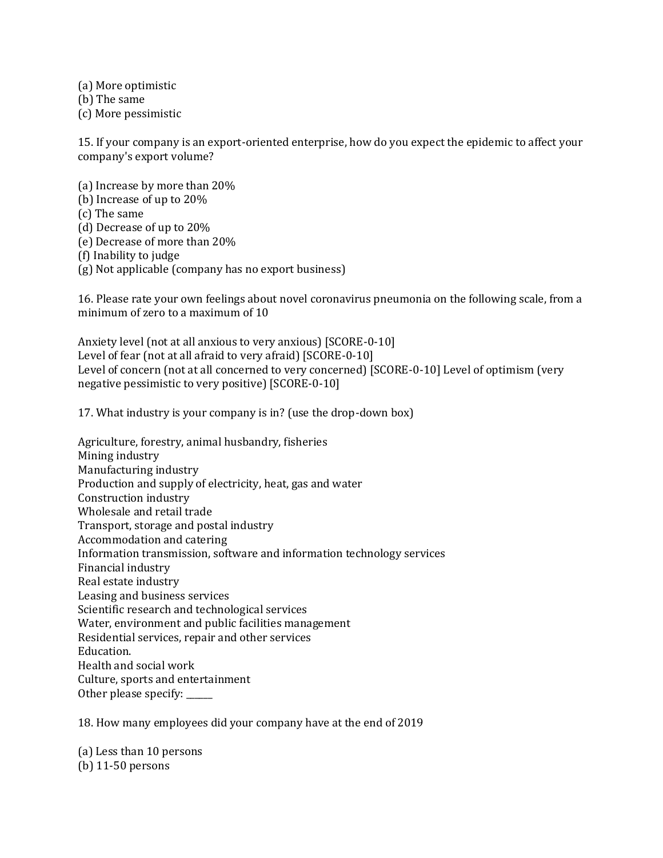(a) More optimistic

(b) The same

(c) More pessimistic

15. If your company is an export-oriented enterprise, how do you expect the epidemic to affect your company's export volume?

(a) Increase by more than 20% (b) Increase of up to 20% (c) The same (d) Decrease of up to 20% (e) Decrease of more than 20% (f) Inability to judge

(g) Not applicable (company has no export business)

16. Please rate your own feelings about novel coronavirus pneumonia on the following scale, from a minimum of zero to a maximum of 10

Anxiety level (not at all anxious to very anxious) [SCORE-0-10] Level of fear (not at all afraid to very afraid) [SCORE-0-10] Level of concern (not at all concerned to very concerned) [SCORE-0-10] Level of optimism (very negative pessimistic to very positive) [SCORE-0-10]

17. What industry is your company is in? (use the drop-down box)

Agriculture, forestry, animal husbandry, fisheries Mining industry Manufacturing industry Production and supply of electricity, heat, gas and water Construction industry Wholesale and retail trade Transport, storage and postal industry Accommodation and catering Information transmission, software and information technology services Financial industry Real estate industry Leasing and business services Scientific research and technological services Water, environment and public facilities management Residential services, repair and other services Education. Health and social work Culture, sports and entertainment Other please specify: \_\_\_\_\_\_

18. How many employees did your company have at the end of 2019

(a) Less than 10 persons (b) 11-50 persons